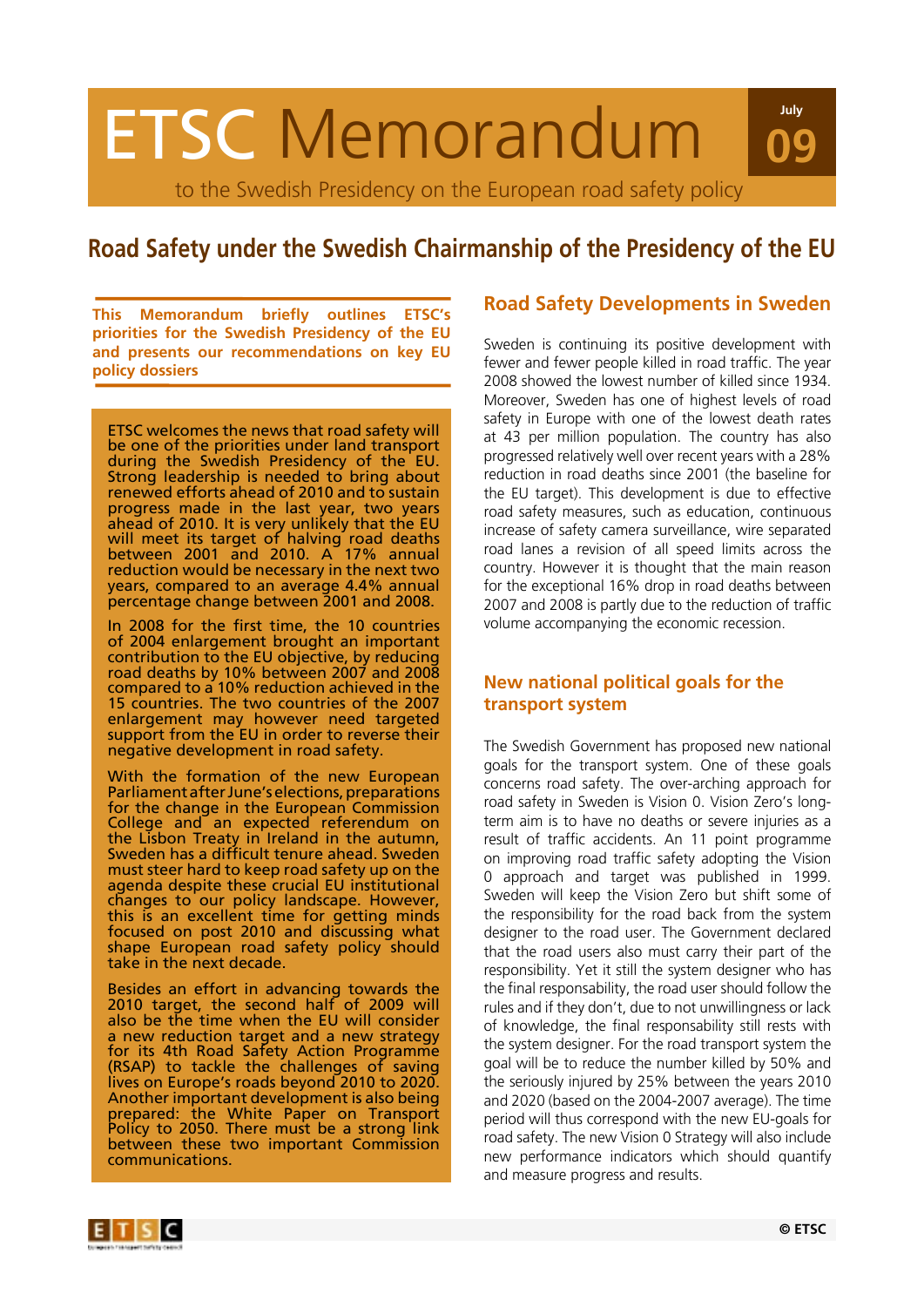# ETSC Memorandum

to the Swedish Presidency on the European road safety policy

# **Road Safety under the Swedish Chairmanship of the Presidency of the EU**

**This Memorandum briefly outlines ETSC's priorities for the Swedish Presidency of the EU and presents our recommendations on key EU policy dossiers**

ETSC welcomes the news that road safety will be one of the priorities under land transport during the Swedish Presidency of the EU. Strong leadership is needed to bring about renewed efforts ahead of 2010 and to sustain progress made in the last year, two years ahead of 2010. It is very unlikely that the EU will meet its target of halving road deaths between 2001 and 2010. A 17% annual reduction would be necessary in the next two years, compared to an average 4.4% annual percentage change between 2001 and 2008.

In 2008 for the first time, the 10 countries of 2004 enlargement brought an important contribution to the EU objective, by reducing road deaths by 10% between 2007 and 2008 compared to a 10% reduction achieved in the 15 countries. The two countries of the 2007 enlargement may however need targeted support from the EU in order to reverse their negative development in road safety.

With the formation of the new European Parliament after June's elections, preparations for the change in the European Commission College and an expected referendum on the Lisbon Treaty in Ireland in the autumn, Sweden has a difficult tenure ahead. Sweden must steer hard to keep road safety up on the agenda despite these crucial EU institutional changes to our policy landscape. However, this is an excellent time for getting minds focused on post 2010 and discussing what shape European road safety policy should take in the next decade.

Besides an effort in advancing towards the 2010 target, the second half of 2009 will also be the time when the EU will consider a new reduction target and a new strategy for its 4th Road Safety Action Programme (RSAP) to tackle the challenges of saving lives on Europe's roads beyond 2010 to 2020. Another important development is also being prepared: the White Paper on Transport Policy to 2050. There must be a strong link between these two important Commission communications.

#### **Road Safety Developments in Sweden**

**July**

**09**

Sweden is continuing its positive development with fewer and fewer people killed in road traffic. The year 2008 showed the lowest number of killed since 1934. Moreover, Sweden has one of highest levels of road safety in Europe with one of the lowest death rates at 43 per million population. The country has also progressed relatively well over recent years with a 28% reduction in road deaths since 2001 (the baseline for the EU target). This development is due to effective road safety measures, such as education, continuous increase of safety camera surveillance, wire separated road lanes a revision of all speed limits across the country. However it is thought that the main reason for the exceptional 16% drop in road deaths between 2007 and 2008 is partly due to the reduction of traffic volume accompanying the economic recession.

## **New national political goals for the transport system**

The Swedish Government has proposed new national goals for the transport system. One of these goals concerns road safety. The over-arching approach for road safety in Sweden is Vision 0. Vision Zero's longterm aim is to have no deaths or severe injuries as a result of traffic accidents. An 11 point programme on improving road traffic safety adopting the Vision 0 approach and target was published in 1999. Sweden will keep the Vision Zero but shift some of the responsibility for the road back from the system designer to the road user. The Government declared that the road users also must carry their part of the responsibility. Yet it still the system designer who has the final responsability, the road user should follow the rules and if they don't, due to not unwillingness or lack of knowledge, the final responsability still rests with the system designer. For the road transport system the goal will be to reduce the number killed by 50% and the seriously injured by 25% between the years 2010 and 2020 (based on the 2004-2007 average). The time period will thus correspond with the new EU-goals for road safety. The new Vision 0 Strategy will also include new performance indicators which should quantify and measure progress and results.

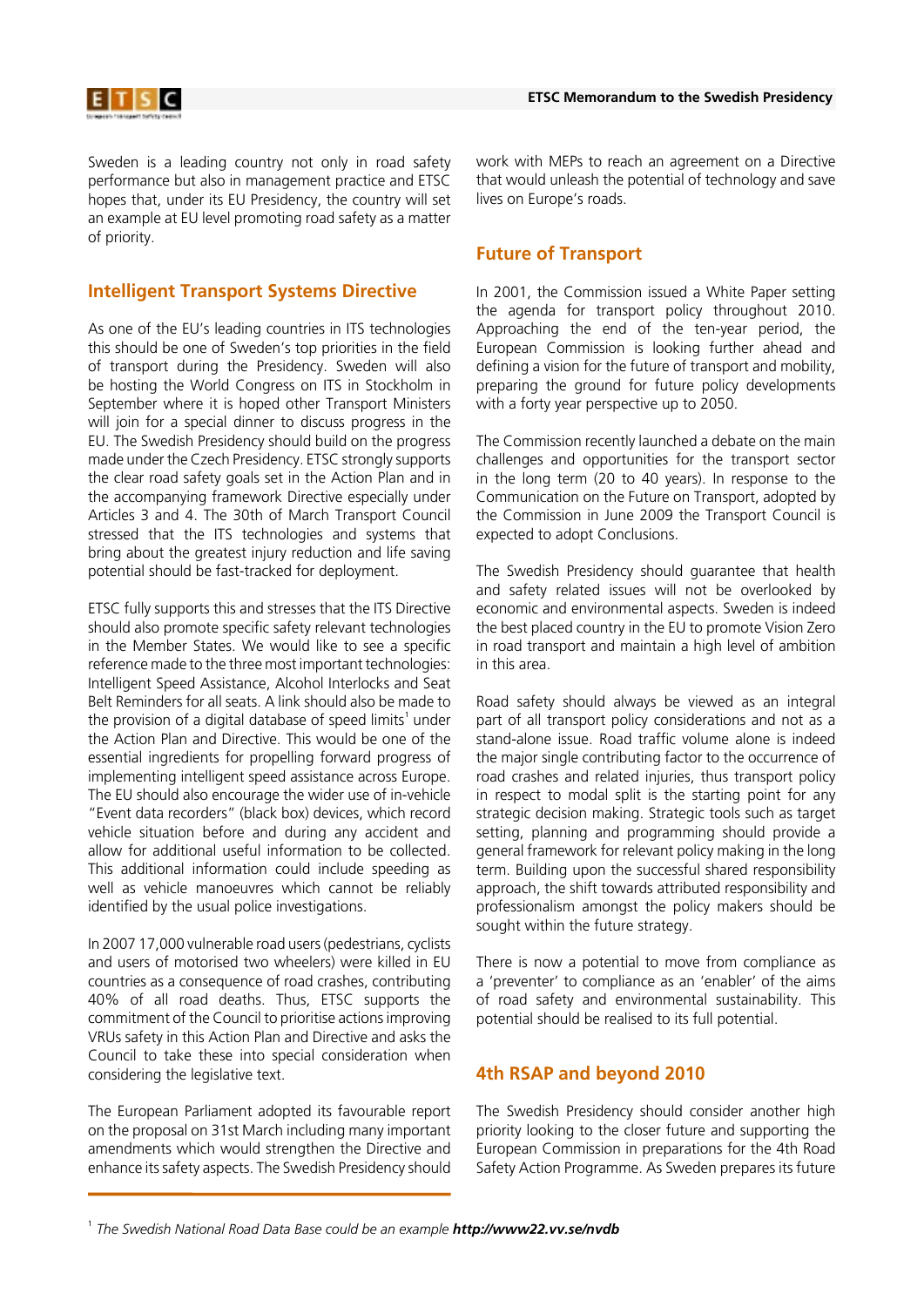

Sweden is a leading country not only in road safety performance but also in management practice and ETSC hopes that, under its EU Presidency, the country will set an example at EU level promoting road safety as a matter of priority.

#### **Intelligent Transport Systems Directive**

As one of the EU's leading countries in ITS technologies this should be one of Sweden's top priorities in the field of transport during the Presidency. Sweden will also be hosting the World Congress on ITS in Stockholm in September where it is hoped other Transport Ministers will join for a special dinner to discuss progress in the EU. The Swedish Presidency should build on the progress made under the Czech Presidency. ETSC strongly supports the clear road safety goals set in the Action Plan and in the accompanying framework Directive especially under Articles 3 and 4. The 30th of March Transport Council stressed that the ITS technologies and systems that bring about the greatest injury reduction and life saving potential should be fast-tracked for deployment.

ETSC fully supports this and stresses that the ITS Directive should also promote specific safety relevant technologies in the Member States. We would like to see a specific reference made to the three most important technologies: Intelligent Speed Assistance, Alcohol Interlocks and Seat Belt Reminders for all seats. A link should also be made to the provision of a digital database of speed limits<sup>1</sup> under the Action Plan and Directive. This would be one of the essential ingredients for propelling forward progress of implementing intelligent speed assistance across Europe. The EU should also encourage the wider use of in-vehicle "Event data recorders" (black box) devices, which record vehicle situation before and during any accident and allow for additional useful information to be collected. This additional information could include speeding as well as vehicle manoeuvres which cannot be reliably identified by the usual police investigations.

In 2007 17,000 vulnerable road users (pedestrians, cyclists and users of motorised two wheelers) were killed in EU countries as a consequence of road crashes, contributing 40% of all road deaths. Thus, ETSC supports the commitment of the Council to prioritise actions improving VRUs safety in this Action Plan and Directive and asks the Council to take these into special consideration when considering the legislative text.

The European Parliament adopted its favourable report on the proposal on 31st March including many important amendments which would strengthen the Directive and enhance its safety aspects. The Swedish Presidency should work with MEPs to reach an agreement on a Directive that would unleash the potential of technology and save lives on Europe's roads.

#### **Future of Transport**

In 2001, the Commission issued a White Paper setting the agenda for transport policy throughout 2010. Approaching the end of the ten-year period, the European Commission is looking further ahead and defining a vision for the future of transport and mobility, preparing the ground for future policy developments with a forty year perspective up to 2050.

The Commission recently launched a debate on the main challenges and opportunities for the transport sector in the long term (20 to 40 years). In response to the Communication on the Future on Transport, adopted by the Commission in June 2009 the Transport Council is expected to adopt Conclusions.

The Swedish Presidency should guarantee that health and safety related issues will not be overlooked by economic and environmental aspects. Sweden is indeed the best placed country in the EU to promote Vision Zero in road transport and maintain a high level of ambition in this area.

Road safety should always be viewed as an integral part of all transport policy considerations and not as a stand-alone issue. Road traffic volume alone is indeed the major single contributing factor to the occurrence of road crashes and related injuries, thus transport policy in respect to modal split is the starting point for any strategic decision making. Strategic tools such as target setting, planning and programming should provide a general framework for relevant policy making in the long term. Building upon the successful shared responsibility approach, the shift towards attributed responsibility and professionalism amongst the policy makers should be sought within the future strategy.

There is now a potential to move from compliance as a 'preventer' to compliance as an 'enabler' of the aims of road safety and environmental sustainability. This potential should be realised to its full potential.

#### **4th RSAP and beyond 2010**

The Swedish Presidency should consider another high priority looking to the closer future and supporting the European Commission in preparations for the 4th Road Safety Action Programme. As Sweden prepares its future

*The Swedish National Road Data Base could be an example http://www22.vv.se/nvdb* <sup>1</sup>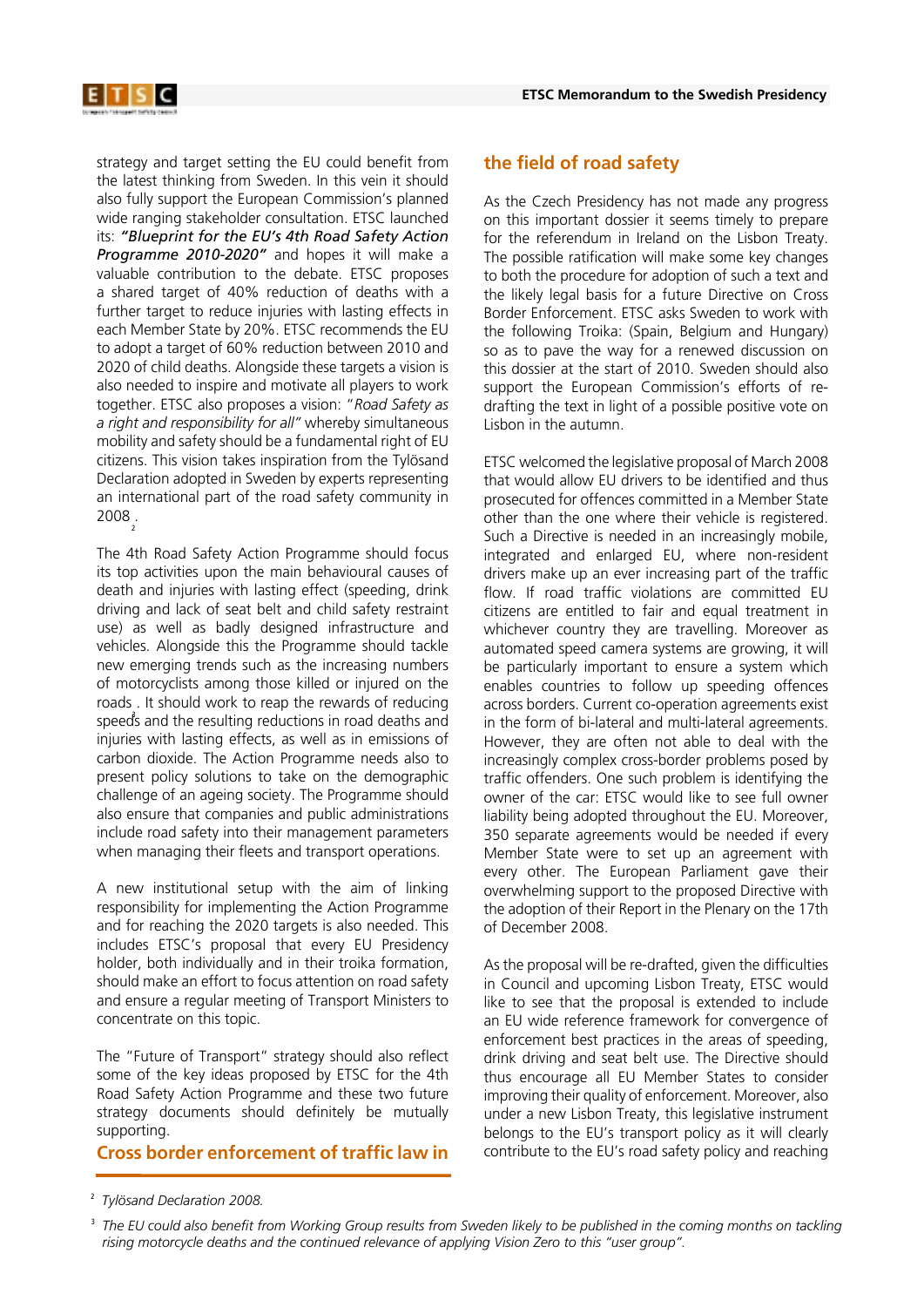

strategy and target setting the EU could benefit from the latest thinking from Sweden. In this vein it should also fully support the European Commission's planned wide ranging stakeholder consultation. ETSC launched its: *"Blueprint for the EU's 4th Road Safety Action Programme 2010-2020"* and hopes it will make a valuable contribution to the debate. ETSC proposes a shared target of 40% reduction of deaths with a further target to reduce injuries with lasting effects in each Member State by 20%. ETSC recommends the EU to adopt a target of 60% reduction between 2010 and 2020 of child deaths. Alongside these targets a vision is also needed to inspire and motivate all players to work together. ETSC also proposes a vision: "*Road Safety as a right and responsibility for all"* whereby simultaneous mobility and safety should be a fundamental right of EU citizens. This vision takes inspiration from the Tylösand Declaration adopted in Sweden by experts representing an international part of the road safety community in  $2008$   $\frac{1}{2}$ 

The 4th Road Safety Action Programme should focus its top activities upon the main behavioural causes of death and injuries with lasting effect (speeding, drink driving and lack of seat belt and child safety restraint use) as well as badly designed infrastructure and vehicles. Alongside this the Programme should tackle new emerging trends such as the increasing numbers of motorcyclists among those killed or injured on the roads . It should work to reap the rewards of reducing speeds and the resulting reductions in road deaths and injuries with lasting effects, as well as in emissions of carbon dioxide. The Action Programme needs also to present policy solutions to take on the demographic challenge of an ageing society. The Programme should also ensure that companies and public administrations include road safety into their management parameters when managing their fleets and transport operations.

A new institutional setup with the aim of linking responsibility for implementing the Action Programme and for reaching the 2020 targets is also needed. This includes ETSC's proposal that every EU Presidency holder, both individually and in their troika formation, should make an effort to focus attention on road safety and ensure a regular meeting of Transport Ministers to concentrate on this topic.

The "Future of Transport" strategy should also reflect some of the key ideas proposed by ETSC for the 4th Road Safety Action Programme and these two future strategy documents should definitely be mutually supporting.

**Cross border enforcement of traffic law in** 

## **the field of road safety**

As the Czech Presidency has not made any progress on this important dossier it seems timely to prepare for the referendum in Ireland on the Lisbon Treaty. The possible ratification will make some key changes to both the procedure for adoption of such a text and the likely legal basis for a future Directive on Cross Border Enforcement. ETSC asks Sweden to work with the following Troika: (Spain, Belgium and Hungary) so as to pave the way for a renewed discussion on this dossier at the start of 2010. Sweden should also support the European Commission's efforts of redrafting the text in light of a possible positive vote on Lisbon in the autumn.

ETSC welcomed the legislative proposal of March 2008 that would allow EU drivers to be identified and thus prosecuted for offences committed in a Member State other than the one where their vehicle is registered. Such a Directive is needed in an increasingly mobile, integrated and enlarged EU, where non-resident drivers make up an ever increasing part of the traffic flow. If road traffic violations are committed EU citizens are entitled to fair and equal treatment in whichever country they are travelling. Moreover as automated speed camera systems are growing, it will be particularly important to ensure a system which enables countries to follow up speeding offences across borders. Current co-operation agreements exist in the form of bi-lateral and multi-lateral agreements. However, they are often not able to deal with the increasingly complex cross-border problems posed by traffic offenders. One such problem is identifying the owner of the car: ETSC would like to see full owner liability being adopted throughout the EU. Moreover, 350 separate agreements would be needed if every Member State were to set up an agreement with every other. The European Parliament gave their overwhelming support to the proposed Directive with the adoption of their Report in the Plenary on the 17th of December 2008.

As the proposal will be re-drafted, given the difficulties in Council and upcoming Lisbon Treaty, ETSC would like to see that the proposal is extended to include an EU wide reference framework for convergence of enforcement best practices in the areas of speeding, drink driving and seat belt use. The Directive should thus encourage all EU Member States to consider improving their quality of enforcement. Moreover, also under a new Lisbon Treaty, this legislative instrument belongs to the EU's transport policy as it will clearly contribute to the EU's road safety policy and reaching

*Tylösand Declaration 2008.* 2

<sup>&</sup>lt;sup>3</sup> The EU could also benefit from Working Group results from Sweden likely to be published in the coming months on tackling *rising motorcycle deaths and the continued relevance of applying Vision Zero to this "user group".*